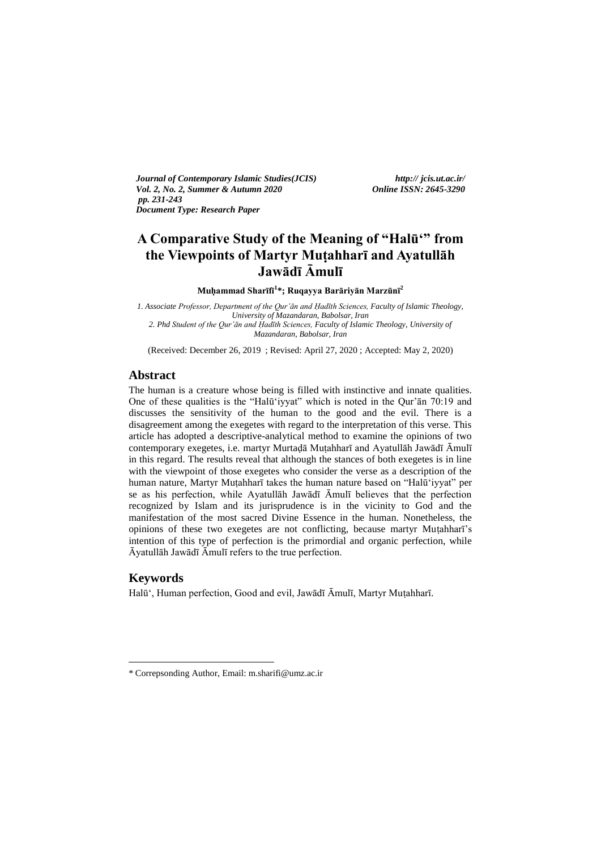*Journal of Contemporary Islamic Studies(JCIS) http:// jcis.ut.ac.ir/ Vol. 2, No. 2, Summer & Autumn 2020 Online ISSN: 2645-3290 pp. 231-243 Document Type: Research Paper* 

# **A Comparative Study of the Meaning of "Halū'" from the Viewpoints of Martyr Muṭahharī and Ayatullāh Jawādī Āmulī**

**Muḥammad Sharīfī<sup>1</sup> \*; Ruqayya Barāriyān Marzūnī<sup>2</sup>**

*1. Associate Professor, Department of the Qur'ān and Ḥadīth Sciences, Faculty of Islamic Theology, University of Mazandaran, Babolsar, Iran 2. Phd Student of the Qur'ān and Ḥadīth Sciences, Faculty of Islamic Theology, University of Mazandaran, Babolsar, Iran*

(Received: December 26, 2019 ; Revised: April 27, 2020 ; Accepted: May 2, 2020)

## **Abstract**

The human is a creature whose being is filled with instinctive and innate qualities. One of these qualities is the "Halū'iyyat" which is noted in the Qur'ān 70:19 and discusses the sensitivity of the human to the good and the evil. There is a disagreement among the exegetes with regard to the interpretation of this verse. This article has adopted a descriptive-analytical method to examine the opinions of two contemporary exegetes, i.e. martyr Murtaḍā Muṭahharī and Ayatullāh Jawādī Āmulī in this regard. The results reveal that although the stances of both exegetes is in line with the viewpoint of those exegetes who consider the verse as a description of the human nature, Martyr Muṭahharī takes the human nature based on "Halū'iyyat" per se as his perfection, while Ayatullāh Jawādī Āmulī believes that the perfection recognized by Islam and its jurisprudence is in the vicinity to God and the manifestation of the most sacred Divine Essence in the human. Nonetheless, the opinions of these two exegetes are not conflicting, because martyr Muṭahharī's intention of this type of perfection is the primordial and organic perfection, while Āyatullāh Jawādī Āmulī refers to the true perfection.

## **Keywords**

-

Halū', Human perfection, Good and evil, Jawādī Āmulī, Martyr Muṭahharī.

<sup>\*</sup> Correpsonding Author, Email: m.sharifi@umz.ac.ir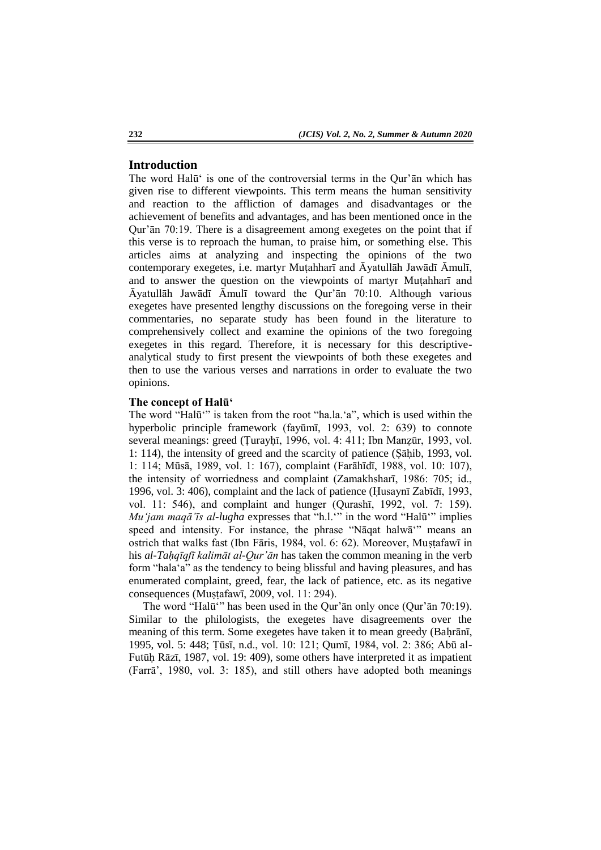### **Introduction**

The word Halū' is one of the controversial terms in the Qur'ān which has given rise to different viewpoints. This term means the human sensitivity and reaction to the affliction of damages and disadvantages or the achievement of benefits and advantages, and has been mentioned once in the Qur'ān 70:19. There is a disagreement among exegetes on the point that if this verse is to reproach the human, to praise him, or something else. This articles aims at analyzing and inspecting the opinions of the two contemporary exegetes, i.e. martyr Muṭahharī and Āyatullāh Jawādī Āmulī, and to answer the question on the viewpoints of martyr Muṭahharī and Āyatullāh Jawādī Āmulī toward the Qur'ān 70:10. Although various exegetes have presented lengthy discussions on the foregoing verse in their commentaries, no separate study has been found in the literature to comprehensively collect and examine the opinions of the two foregoing exegetes in this regard. Therefore, it is necessary for this descriptiveanalytical study to first present the viewpoints of both these exegetes and then to use the various verses and narrations in order to evaluate the two opinions.

#### **The concept of Halū'**

The word "Halū'" is taken from the root "ha.la.'a", which is used within the hyperbolic principle framework (fayūmī, 1993, vol. 2: 639) to connote several meanings: greed (Țurayḥī, 1996, vol. 4: 411; Ibn Manẓūr, 1993, vol. 1: 114), the intensity of greed and the scarcity of patience (Ṣāḥib, 1993, vol. 1: 114; Mūsā, 1989, vol. 1: 167), complaint (Farāhīdī, 1988, vol. 10: 107), the intensity of worriedness and complaint (Zamakhsharī, 1986: 705; id., 1996, vol. 3: 406), complaint and the lack of patience (Ḥusaynī Zabīdī, 1993, vol. 11: 546), and complaint and hunger (Qurashī, 1992, vol. 7: 159). *Mu'jam maqā'īs al-lugha* expresses that "h.l.'" in the word "Halū'" implies speed and intensity. For instance, the phrase "Nāqat halwā'" means an ostrich that walks fast (Ibn Fāris, 1984, vol. 6: 62). Moreover, Mustafawī in his *al-Taḥqīqfī kalimāt al-Qur'ān* has taken the common meaning in the verb form "hala'a" as the tendency to being blissful and having pleasures, and has enumerated complaint, greed, fear, the lack of patience, etc. as its negative consequences (Muṣṭafawī, 2009, vol. 11: 294).

The word "Halū'" has been used in the Qur'ān only once (Qur'ān 70:19). Similar to the philologists, the exegetes have disagreements over the meaning of this term. Some exegetes have taken it to mean greedy (Baḥrānī, 1995, vol. 5: 448; Ṭūsī, n.d., vol. 10: 121; Qumī, 1984, vol. 2: 386; Abū al-Futūḥ Rāzī, 1987, vol. 19: 409), some others have interpreted it as impatient (Farrā', 1980, vol. 3: 185), and still others have adopted both meanings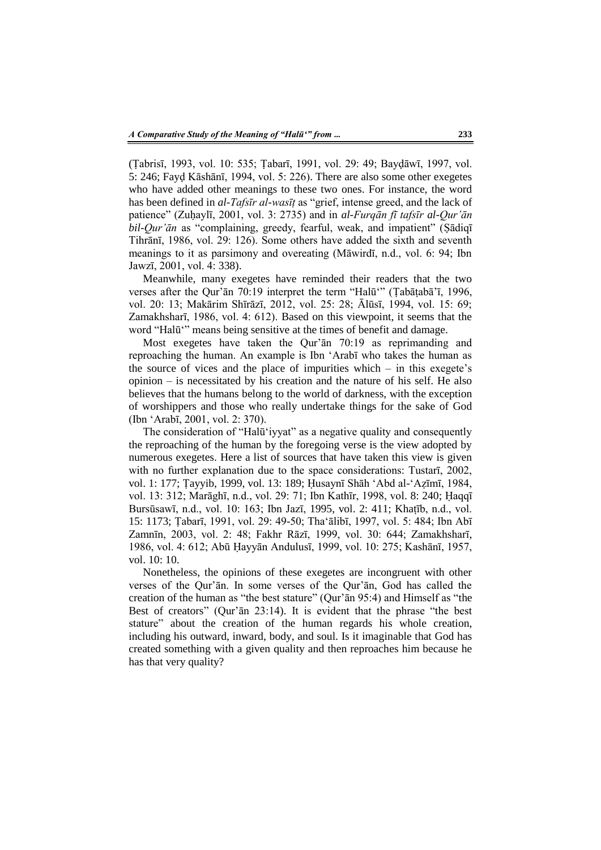(Ṭabrisī, 1993, vol. 10: 535; Ṭabarī, 1991, vol. 29: 49; Bayḍāwī, 1997, vol. 5: 246; Fayḍ Kāshānī, 1994, vol. 5: 226). There are also some other exegetes who have added other meanings to these two ones. For instance, the word has been defined in *al-Tafsīr al-wasīṭ* as "grief, intense greed, and the lack of patience" (Zuḥaylī, 2001, vol. 3: 2735) and in *al-Furqān fī tafsīr al-Qur'ān bil-Qur'ān* as "complaining, greedy, fearful, weak, and impatient" (Ṣādiqī Tihrānī, 1986, vol. 29: 126). Some others have added the sixth and seventh meanings to it as parsimony and overeating (Māwirdī, n.d., vol. 6: 94; Ibn Jawzī, 2001, vol. 4: 338).

Meanwhile, many exegetes have reminded their readers that the two verses after the Qur'ān 70:19 interpret the term "Halū'" (Ṭabāṭabā'ī, 1996, vol. 20: 13; Makārim Shīrāzī, 2012, vol. 25: 28; Ālūsī, 1994, vol. 15: 69; Zamakhsharī, 1986, vol. 4: 612). Based on this viewpoint, it seems that the word "Halū'" means being sensitive at the times of benefit and damage.

Most exegetes have taken the Qur'ān 70:19 as reprimanding and reproaching the human. An example is Ibn 'Arabī who takes the human as the source of vices and the place of impurities which  $-$  in this exegete's opinion – is necessitated by his creation and the nature of his self. He also believes that the humans belong to the world of darkness, with the exception of worshippers and those who really undertake things for the sake of God (Ibn 'Arabī, 2001, vol. 2: 370).

The consideration of "Halū'iyyat" as a negative quality and consequently the reproaching of the human by the foregoing verse is the view adopted by numerous exegetes. Here a list of sources that have taken this view is given with no further explanation due to the space considerations: Tustarī, 2002, vol. 1: 177; Ṭayyib, 1999, vol. 13: 189; Ḥusaynī Shāh 'Abd al-'Aẓīmī, 1984, vol. 13: 312; Marāghī, n.d., vol. 29: 71; Ibn Kathīr, 1998, vol. 8: 240; Ḥaqqī Bursūsawī, n.d., vol. 10: 163; Ibn Jazī, 1995, vol. 2: 411; Khaṭīb, n.d., vol. 15: 1173; Ṭabarī, 1991, vol. 29: 49-50; Tha'ālibī, 1997, vol. 5: 484; Ibn Abī Zamnīn, 2003, vol. 2: 48; Fakhr Rāzī, 1999, vol. 30: 644; Zamakhsharī, 1986, vol. 4: 612; Abū Ḥayyān Andulusī, 1999, vol. 10: 275; Kashānī, 1957, vol. 10: 10.

Nonetheless, the opinions of these exegetes are incongruent with other verses of the Qur'ān. In some verses of the Qur'ān, God has called the creation of the human as "the best stature" (Qur'ān 95:4) and Himself as "the Best of creators" (Qur'ān 23:14). It is evident that the phrase "the best stature" about the creation of the human regards his whole creation, including his outward, inward, body, and soul. Is it imaginable that God has created something with a given quality and then reproaches him because he has that very quality?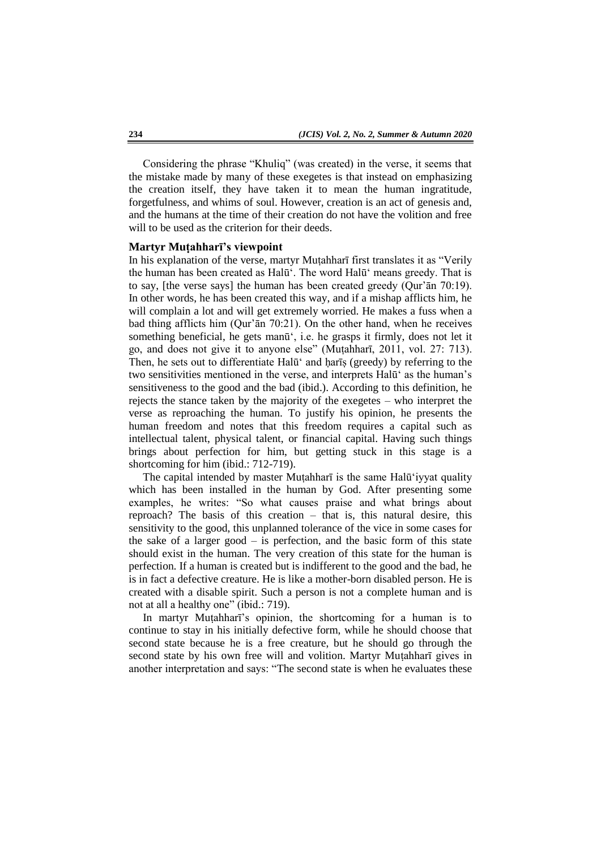Considering the phrase "Khuliq" (was created) in the verse, it seems that the mistake made by many of these exegetes is that instead on emphasizing the creation itself, they have taken it to mean the human ingratitude, forgetfulness, and whims of soul. However, creation is an act of genesis and, and the humans at the time of their creation do not have the volition and free will to be used as the criterion for their deeds.

### **Martyr Muṭahharī's viewpoint**

In his explanation of the verse, martyr Muṭahharī first translates it as "Verily the human has been created as Halū'. The word Halū' means greedy. That is to say, [the verse says] the human has been created greedy (Qur'ān 70:19). In other words, he has been created this way, and if a mishap afflicts him, he will complain a lot and will get extremely worried. He makes a fuss when a bad thing afflicts him (Qur'ān 70:21). On the other hand, when he receives something beneficial, he gets manū', i.e. he grasps it firmly, does not let it go, and does not give it to anyone else" (Muṭahharī, 2011, vol. 27: 713). Then, he sets out to differentiate Halū<sup>'</sup> and harīs (greedy) by referring to the two sensitivities mentioned in the verse, and interprets Halū' as the human's sensitiveness to the good and the bad (ibid.). According to this definition, he rejects the stance taken by the majority of the exegetes – who interpret the verse as reproaching the human. To justify his opinion, he presents the human freedom and notes that this freedom requires a capital such as intellectual talent, physical talent, or financial capital. Having such things brings about perfection for him, but getting stuck in this stage is a shortcoming for him (ibid.: 712-719).

The capital intended by master Muṭahharī is the same Halū'iyyat quality which has been installed in the human by God. After presenting some examples, he writes: "So what causes praise and what brings about reproach? The basis of this creation – that is, this natural desire, this sensitivity to the good, this unplanned tolerance of the vice in some cases for the sake of a larger good – is perfection, and the basic form of this state should exist in the human. The very creation of this state for the human is perfection. If a human is created but is indifferent to the good and the bad, he is in fact a defective creature. He is like a mother-born disabled person. He is created with a disable spirit. Such a person is not a complete human and is not at all a healthy one" (ibid.: 719).

In martyr Muṭahharī's opinion, the shortcoming for a human is to continue to stay in his initially defective form, while he should choose that second state because he is a free creature, but he should go through the second state by his own free will and volition. Martyr Muṭahharī gives in another interpretation and says: "The second state is when he evaluates these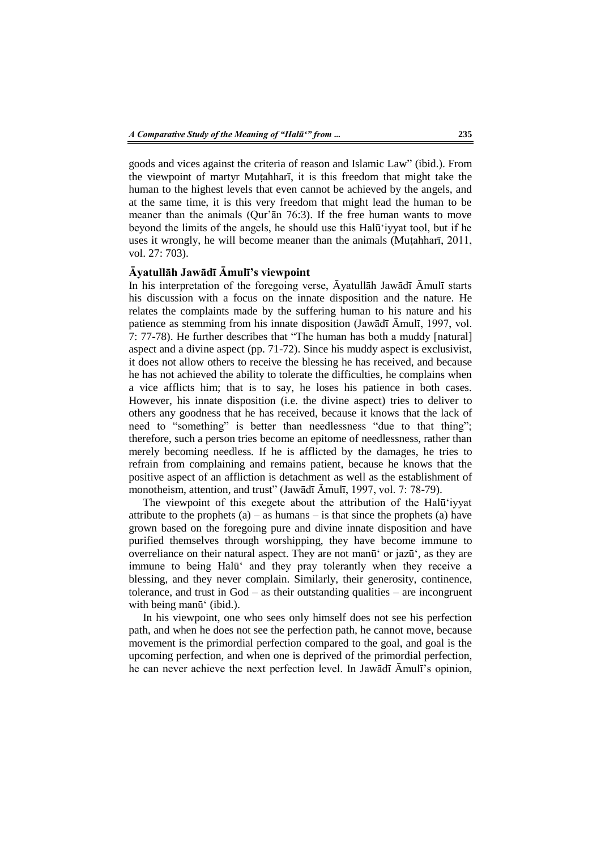goods and vices against the criteria of reason and Islamic Law" (ibid.). From the viewpoint of martyr Muṭahharī, it is this freedom that might take the human to the highest levels that even cannot be achieved by the angels, and at the same time, it is this very freedom that might lead the human to be meaner than the animals (Qur'ān 76:3). If the free human wants to move beyond the limits of the angels, he should use this Halū'iyyat tool, but if he uses it wrongly, he will become meaner than the animals (Muṭahharī, 2011, vol. 27: 703).

### **Āyatullāh Jawādī Āmulī's viewpoint**

In his interpretation of the foregoing verse, Āyatullāh Jawādī Āmulī starts his discussion with a focus on the innate disposition and the nature. He relates the complaints made by the suffering human to his nature and his patience as stemming from his innate disposition (Jawādī Āmulī, 1997, vol. 7: 77-78). He further describes that "The human has both a muddy [natural] aspect and a divine aspect (pp. 71-72). Since his muddy aspect is exclusivist, it does not allow others to receive the blessing he has received, and because he has not achieved the ability to tolerate the difficulties, he complains when a vice afflicts him; that is to say, he loses his patience in both cases. However, his innate disposition (i.e. the divine aspect) tries to deliver to others any goodness that he has received, because it knows that the lack of need to "something" is better than needlessness "due to that thing"; therefore, such a person tries become an epitome of needlessness, rather than merely becoming needless. If he is afflicted by the damages, he tries to refrain from complaining and remains patient, because he knows that the positive aspect of an affliction is detachment as well as the establishment of monotheism, attention, and trust" (Jawādī Āmulī, 1997, vol. 7: 78-79).

The viewpoint of this exegete about the attribution of the Halū'iyyat attribute to the prophets  $(a)$  – as humans – is that since the prophets  $(a)$  have grown based on the foregoing pure and divine innate disposition and have purified themselves through worshipping, they have become immune to overreliance on their natural aspect. They are not manū' or jazū', as they are immune to being Halū' and they pray tolerantly when they receive a blessing, and they never complain. Similarly, their generosity, continence, tolerance, and trust in  $God - as$  their outstanding qualities – are incongruent with being manū<sup>'</sup> (ibid.).

In his viewpoint, one who sees only himself does not see his perfection path, and when he does not see the perfection path, he cannot move, because movement is the primordial perfection compared to the goal, and goal is the upcoming perfection, and when one is deprived of the primordial perfection, he can never achieve the next perfection level. In Jawādī Āmulī's opinion,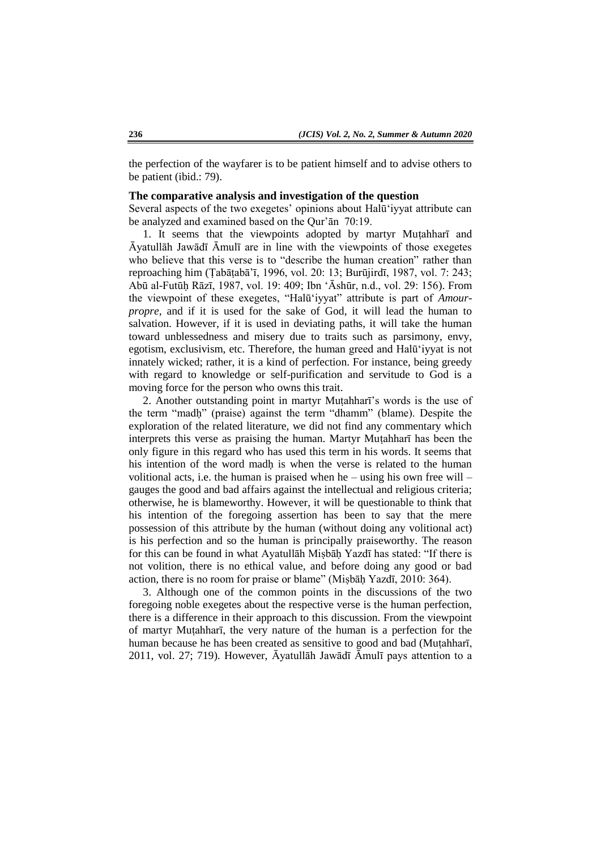the perfection of the wayfarer is to be patient himself and to advise others to be patient (ibid.: 79).

#### **The comparative analysis and investigation of the question**

Several aspects of the two exegetes' opinions about Halū'iyyat attribute can be analyzed and examined based on the Qur'ān 70:19.

1. It seems that the viewpoints adopted by martyr Muṭahharī and Āyatullāh Jawādī Āmulī are in line with the viewpoints of those exegetes who believe that this verse is to "describe the human creation" rather than reproaching him (Ṭabāṭabā'ī, 1996, vol. 20: 13; Burūjirdī, 1987, vol. 7: 243; Abū al-Futūḥ Rāzī, 1987, vol. 19: 409; Ibn 'Āshūr, n.d., vol. 29: 156). From the viewpoint of these exegetes, "Halū'iyyat" attribute is part of *Amourpropre*, and if it is used for the sake of God, it will lead the human to salvation. However, if it is used in deviating paths, it will take the human toward unblessedness and misery due to traits such as parsimony, envy, egotism, exclusivism, etc. Therefore, the human greed and Halū'iyyat is not innately wicked; rather, it is a kind of perfection. For instance, being greedy with regard to knowledge or self-purification and servitude to God is a moving force for the person who owns this trait.

2. Another outstanding point in martyr Muṭahharī's words is the use of the term "madḥ" (praise) against the term "dhamm" (blame). Despite the exploration of the related literature, we did not find any commentary which interprets this verse as praising the human. Martyr Mutahhar<del>i</del> has been the only figure in this regard who has used this term in his words. It seems that his intention of the word madh is when the verse is related to the human volitional acts, i.e. the human is praised when he – using his own free will – gauges the good and bad affairs against the intellectual and religious criteria; otherwise, he is blameworthy. However, it will be questionable to think that his intention of the foregoing assertion has been to say that the mere possession of this attribute by the human (without doing any volitional act) is his perfection and so the human is principally praiseworthy. The reason for this can be found in what Ayatullāh Miṣbāḥ Yazdī has stated: "If there is not volition, there is no ethical value, and before doing any good or bad action, there is no room for praise or blame" (Miṣbāḥ Yazdī, 2010: 364).

3. Although one of the common points in the discussions of the two foregoing noble exegetes about the respective verse is the human perfection, there is a difference in their approach to this discussion. From the viewpoint of martyr Muṭahharī, the very nature of the human is a perfection for the human because he has been created as sensitive to good and bad (Mutahhari, 2011, vol. 27; 719). However, Āyatullāh Jawādī Āmulī pays attention to a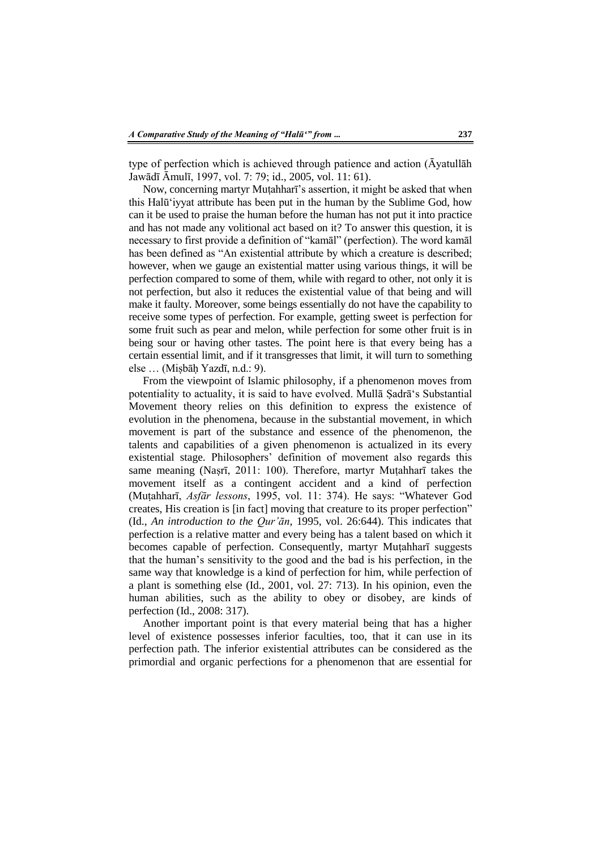type of perfection which is achieved through patience and action (Āyatullāh Jawādī Āmulī, 1997, vol. 7: 79; id., 2005, vol. 11: 61).

Now, concerning martyr Muṭahharī's assertion, it might be asked that when this Halū'iyyat attribute has been put in the human by the Sublime God, how can it be used to praise the human before the human has not put it into practice and has not made any volitional act based on it? To answer this question, it is necessary to first provide a definition of "kamāl" (perfection). The word kamāl has been defined as "An existential attribute by which a creature is described; however, when we gauge an existential matter using various things, it will be perfection compared to some of them, while with regard to other, not only it is not perfection, but also it reduces the existential value of that being and will make it faulty. Moreover, some beings essentially do not have the capability to receive some types of perfection. For example, getting sweet is perfection for some fruit such as pear and melon, while perfection for some other fruit is in being sour or having other tastes. The point here is that every being has a certain essential limit, and if it transgresses that limit, it will turn to something else … (Miṣbāḥ Yazdī, n.d.: 9).

From the viewpoint of Islamic philosophy, if a phenomenon moves from potentiality to actuality, it is said to have evolved. Mullā Ṣadrā's Substantial Movement theory relies on this definition to express the existence of evolution in the phenomena, because in the substantial movement, in which movement is part of the substance and essence of the phenomenon, the talents and capabilities of a given phenomenon is actualized in its every existential stage. Philosophers' definition of movement also regards this same meaning (Naṣrī, 2011: 100). Therefore, martyr Muṭahharī takes the movement itself as a contingent accident and a kind of perfection (Muṭahharī, *Asfār lessons*, 1995, vol. 11: 374). He says: "Whatever God creates, His creation is [in fact] moving that creature to its proper perfection" (Id., *An introduction to the Qur'ān*, 1995, vol. 26:644). This indicates that perfection is a relative matter and every being has a talent based on which it becomes capable of perfection. Consequently, martyr Muṭahharī suggests that the human's sensitivity to the good and the bad is his perfection, in the same way that knowledge is a kind of perfection for him, while perfection of a plant is something else (Id., 2001, vol. 27: 713). In his opinion, even the human abilities, such as the ability to obey or disobey, are kinds of perfection (Id., 2008: 317).

Another important point is that every material being that has a higher level of existence possesses inferior faculties, too, that it can use in its perfection path. The inferior existential attributes can be considered as the primordial and organic perfections for a phenomenon that are essential for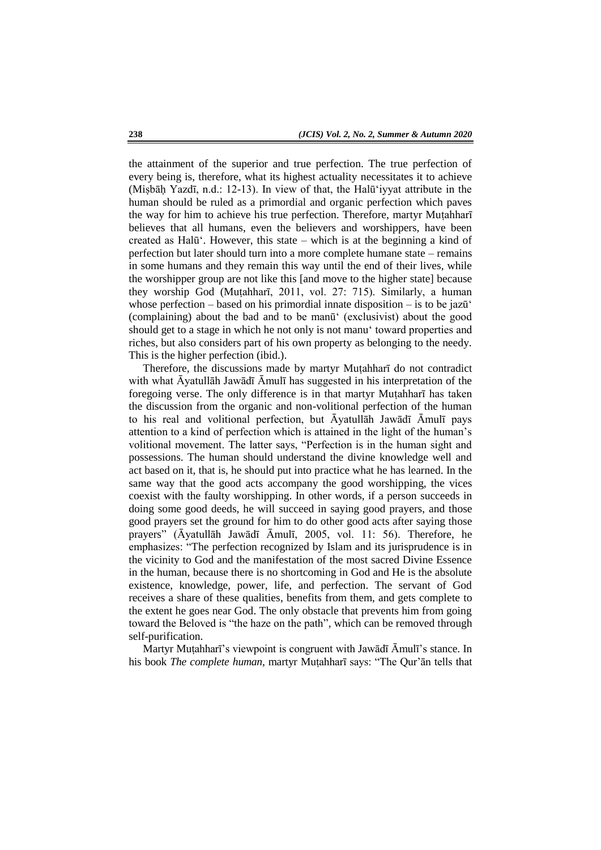the attainment of the superior and true perfection. The true perfection of every being is, therefore, what its highest actuality necessitates it to achieve (Miṣbāḥ Yazdī, n.d.: 12-13). In view of that, the Halū'iyyat attribute in the human should be ruled as a primordial and organic perfection which paves the way for him to achieve his true perfection. Therefore, martyr Muṭahharī believes that all humans, even the believers and worshippers, have been created as Halū'. However, this state – which is at the beginning a kind of perfection but later should turn into a more complete humane state – remains in some humans and they remain this way until the end of their lives, while the worshipper group are not like this [and move to the higher state] because they worship God (Muṭahharī, 2011, vol. 27: 715). Similarly, a human whose perfection – based on his primordial innate disposition – is to be jaz $\bar{u}$ (complaining) about the bad and to be manū' (exclusivist) about the good should get to a stage in which he not only is not manu' toward properties and riches, but also considers part of his own property as belonging to the needy. This is the higher perfection (ibid.).

Therefore, the discussions made by martyr Muṭahharī do not contradict with what Āyatullāh Jawādī Āmulī has suggested in his interpretation of the foregoing verse. The only difference is in that martyr Muṭahharī has taken the discussion from the organic and non-volitional perfection of the human to his real and volitional perfection, but Āyatullāh Jawādī Āmulī pays attention to a kind of perfection which is attained in the light of the human's volitional movement. The latter says, "Perfection is in the human sight and possessions. The human should understand the divine knowledge well and act based on it, that is, he should put into practice what he has learned. In the same way that the good acts accompany the good worshipping, the vices coexist with the faulty worshipping. In other words, if a person succeeds in doing some good deeds, he will succeed in saying good prayers, and those good prayers set the ground for him to do other good acts after saying those prayers" (Āyatullāh Jawādī Āmulī, 2005, vol. 11: 56). Therefore, he emphasizes: "The perfection recognized by Islam and its jurisprudence is in the vicinity to God and the manifestation of the most sacred Divine Essence in the human, because there is no shortcoming in God and He is the absolute existence, knowledge, power, life, and perfection. The servant of God receives a share of these qualities, benefits from them, and gets complete to the extent he goes near God. The only obstacle that prevents him from going toward the Beloved is "the haze on the path", which can be removed through self-purification.

Martyr Muṭahharī's viewpoint is congruent with Jawādī Āmulī's stance. In his book *The complete human*, martyr Muṭahharī says: "The Qur'ān tells that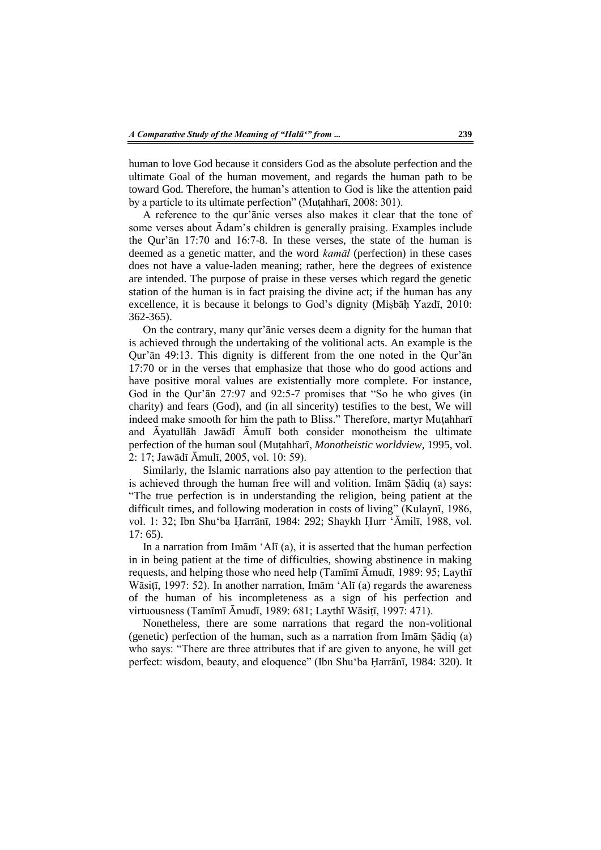human to love God because it considers God as the absolute perfection and the ultimate Goal of the human movement, and regards the human path to be toward God. Therefore, the human's attention to God is like the attention paid by a particle to its ultimate perfection" (Muṭahharī, 2008: 301).

A reference to the qur'ānic verses also makes it clear that the tone of some verses about Ādam's children is generally praising. Examples include the Qur'ān 17:70 and 16:7-8. In these verses, the state of the human is deemed as a genetic matter, and the word *kamāl* (perfection) in these cases does not have a value-laden meaning; rather, here the degrees of existence are intended. The purpose of praise in these verses which regard the genetic station of the human is in fact praising the divine act; if the human has any excellence, it is because it belongs to God's dignity (Miṣbāḥ Yazdī, 2010: 362-365).

On the contrary, many qur'ānic verses deem a dignity for the human that is achieved through the undertaking of the volitional acts. An example is the Qur'ān 49:13. This dignity is different from the one noted in the Qur'ān 17:70 or in the verses that emphasize that those who do good actions and have positive moral values are existentially more complete. For instance, God in the Qur'ān 27:97 and 92:5-7 promises that "So he who gives (in charity) and fears (God), and (in all sincerity) testifies to the best, We will indeed make smooth for him the path to Bliss." Therefore, martyr Muṭahharī and Āyatullāh Jawādī Āmulī both consider monotheism the ultimate perfection of the human soul (Muṭahharī, *Monotheistic worldview*, 1995, vol. 2: 17; Jawādī Āmulī, 2005, vol. 10: 59).

Similarly, the Islamic narrations also pay attention to the perfection that is achieved through the human free will and volition. Imām Ṣādiq (a) says: "The true perfection is in understanding the religion, being patient at the difficult times, and following moderation in costs of living" (Kulaynī, 1986, vol. 1: 32; Ibn Shu'ba Ḥarrānī, 1984: 292; Shaykh Ḥurr 'Āmilī, 1988, vol. 17: 65).

In a narration from Imām 'Alī (a), it is asserted that the human perfection in in being patient at the time of difficulties, showing abstinence in making requests, and helping those who need help (Tamīmī Āmudī, 1989: 95; Laythī Wāsiṭī, 1997: 52). In another narration, Imām 'Alī (a) regards the awareness of the human of his incompleteness as a sign of his perfection and virtuousness (Tamīmī Āmudī, 1989: 681; Laythī Wāsiṭī, 1997: 471).

Nonetheless, there are some narrations that regard the non-volitional (genetic) perfection of the human, such as a narration from Imām Ṣādiq (a) who says: "There are three attributes that if are given to anyone, he will get perfect: wisdom, beauty, and eloquence" (Ibn Shu'ba Ḥarrānī, 1984: 320). It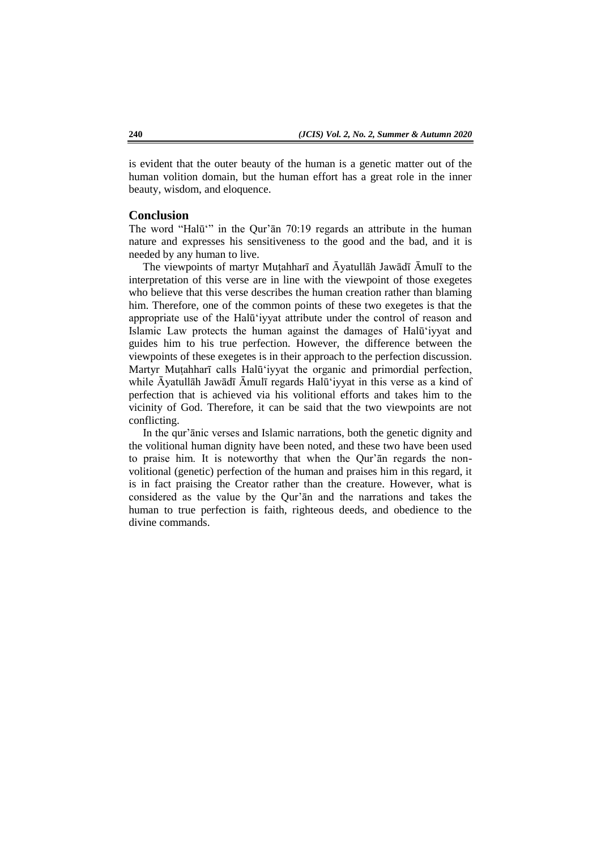is evident that the outer beauty of the human is a genetic matter out of the human volition domain, but the human effort has a great role in the inner beauty, wisdom, and eloquence.

#### **Conclusion**

The word "Halū'" in the Qur'ān 70:19 regards an attribute in the human nature and expresses his sensitiveness to the good and the bad, and it is needed by any human to live.

The viewpoints of martyr Muṭahharī and Āyatullāh Jawādī Āmulī to the interpretation of this verse are in line with the viewpoint of those exegetes who believe that this verse describes the human creation rather than blaming him. Therefore, one of the common points of these two exegetes is that the appropriate use of the Halū'iyyat attribute under the control of reason and Islamic Law protects the human against the damages of Halū'iyyat and guides him to his true perfection. However, the difference between the viewpoints of these exegetes is in their approach to the perfection discussion. Martyr Muṭahharī calls Halū'iyyat the organic and primordial perfection, while Āyatullāh Jawādī Āmulī regards Halū'iyyat in this verse as a kind of perfection that is achieved via his volitional efforts and takes him to the vicinity of God. Therefore, it can be said that the two viewpoints are not conflicting.

In the qur'ānic verses and Islamic narrations, both the genetic dignity and the volitional human dignity have been noted, and these two have been used to praise him. It is noteworthy that when the Qur'ān regards the nonvolitional (genetic) perfection of the human and praises him in this regard, it is in fact praising the Creator rather than the creature. However, what is considered as the value by the Qur'ān and the narrations and takes the human to true perfection is faith, righteous deeds, and obedience to the divine commands.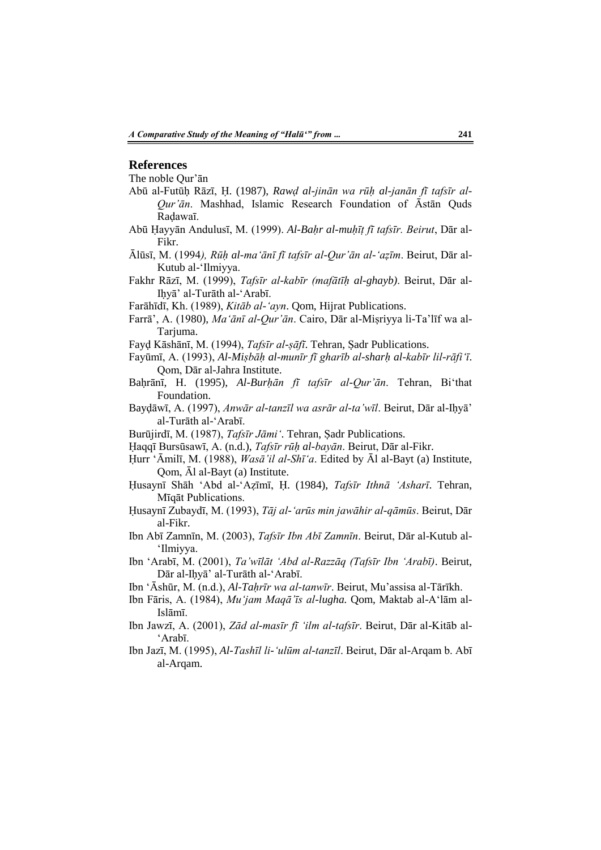#### **References**

The noble Qur'ān

- Abū al-Futūḥ Rāzī, Ḥ. (1987), *Rawḍ al-jinān wa rūḥ al-janān fī tafsīr al-Qur'ān*. Mashhad, Islamic Research Foundation of Āstān Quds Raḍawaī.
- Abū Ḥayyān Andulusī, M. (1999). *Al-Baḥr al-muḥīṭ fī tafsīr. Beirut*, Dār al-Fikr.
- Ālūsī, M. (1994*), Rūḥ al-ma'ānī fī tafsīr al-Qur'ān al-'aẓīm*. Beirut, Dār al-Kutub al-'Ilmiyya.
- Fakhr Rāzī, M. (1999), *Tafsīr al-kabīr (mafātīḥ al-ghayb)*. Beirut, Dār al-Iḥyā' al-Turāth al-'Arabī.
- Farāhīdī, Kh. (1989), *Kitāb al-'ayn*. Qom, Hijrat Publications.
- Farrā', A. (1980), *Ma'ānī al-Qur'ān*. Cairo, Dār al-Miṣriyya li-Ta'līf wa al-Tariuma.
- Fayḍ Kāshānī, M. (1994), *Tafsīr al-ṣāfī*. Tehran, Ṣadr Publications.
- Fayūmī, A. (1993), *Al-Miṣbāḥ al-munīr fī gharīb al-sharḥ al-kabīr lil-rāfi'ī*. Qom, Dār al-Jahra Institute.
- Baḥrānī, H. (1995), *Al-Burḥān fī tafsīr al-Qur'ān*. Tehran, Bi'that Foundation.
- Bayḍāwī, A. (1997), *Anwār al-tanzīl wa asrār al-ta'wīl*. Beirut, Dār al-Iḥyā' al-Turāth al-'Arabī.
- Burūjirdī, M. (1987), *Tafsīr Jāmi'*. Tehran, Ṣadr Publications.
- Ḥaqqī Bursūsawī, A. (n.d.), *Tafsīr rūḥ al-bayān*. Beirut, Dār al-Fikr.
- Ḥurr 'Āmilī, M. (1988), *Wasā'il al-Shī'a*. Edited by Āl al-Bayt (a) Institute, Qom, Āl al-Bayt (a) Institute.
- Ḥusaynī Shāh 'Abd al-'Aẓīmī, Ḥ. (1984), *Tafsīr Ithnā 'Asharī*. Tehran, Mīqāt Publications.
- Ḥusaynī Zubaydī, M. (1993), *Tāj al-'arūs min jawāhir al-qāmūs*. Beirut, Dār al-Fikr.
- Ibn Abī Zamnīn, M. (2003), *Tafsīr Ibn Abī Zamnīn*. Beirut, Dār al-Kutub al- 'Ilmiyya.
- Ibn 'Arabī, M. (2001), *Ta'wīlāt 'Abd al-Razzāq (Tafsīr Ibn 'Arabī)*. Beirut, Dār al-Iḥyā' al-Turāth al-'Arabī.
- Ibn 'Āshūr, M. (n.d.), *Al-Taḥrīr wa al-tanwīr*. Beirut, Mu'assisa al-Tārīkh.
- Ibn Fāris, A. (1984), *Mu'jam Maqā'īs al-lugha.* Qom, Maktab al-A'lām al-Islāmī.
- Ibn Jawzī, A. (2001), *Zād al-masīr fī 'ilm al-tafsīr*. Beirut, Dār al-Kitāb al- 'Arabī.
- Ibn Jazī, M. (1995), *Al-Tashīl li-'ulūm al-tanzīl*. Beirut, Dār al-Arqam b. Abī al-Arqam.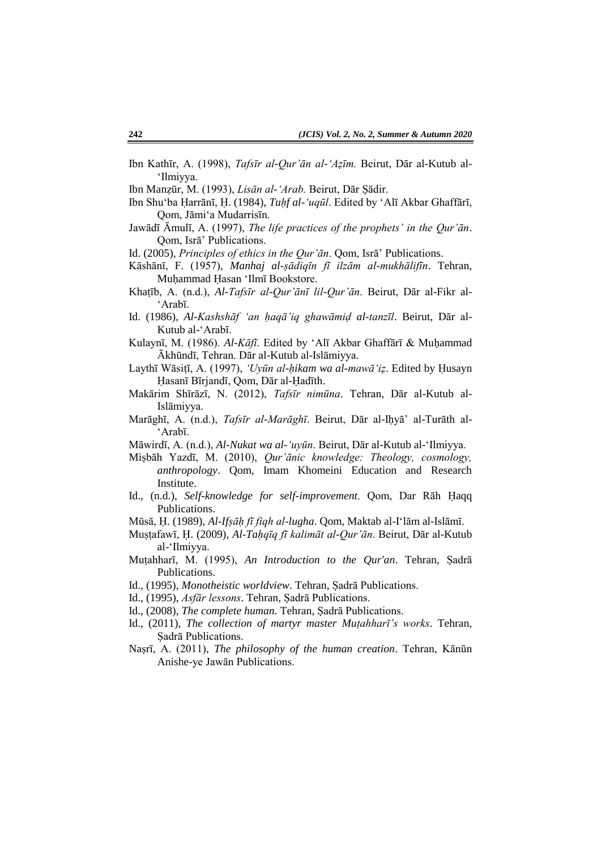- Ibn Kathīr, A. (1998), *Tafsīr al-Qur'ān al-'Aẓīm.* Beirut, Dār al-Kutub al- 'Ilmiyya.
- Ibn Manẓūr, M. (1993), *Lisān al-'Arab.* Beirut, Dār Ṣādir.
- Ibn Shu'ba Ḥarrānī, Ḥ. (1984), *Tuḥf al-'uqūl*. Edited by 'Alī Akbar Ghaffārī, Qom, Jāmi'a Mudarrisīn.
- Jawādī Āmulī, A. (1997), *The life practices of the prophets' in the Qur'ān*. Qom, Isrā' Publications.
- Id. (2005), *Principles of ethics in the Qur'ān*. Qom, Isrā' Publications.
- Kāshānī, F. (1957), *Manhaj al-ṣādiqīn fī ilzām al-mukhālifīn*. Tehran, Muḥammad Ḥasan 'Ilmī Bookstore.
- Khaṭīb, A. (n.d.), *Al-Tafsīr al-Qur'ānī lil-Qur'ān*. Beirut, Dār al-Fikr al- 'Arabī.
- Id. (1986), *Al-Kashshāf 'an ḥaqā'iq ghawāmiḍ al-tanzīl*. Beirut, Dār al-Kutub al-'Arabī.
- Kulaynī, M. (1986). *Al-Kāfī*. Edited by 'Alī Akbar Ghaffārī & Muhammad Ākhūndī, Tehran. Dār al-Kutub al-Islāmiyya.
- Laythī Wāsiṭī, A. (1997), *'Uyūn al-ḥikam wa al-mawā'iẓ*. Edited by Ḥusayn Ḥasanī Bīrjandī, Qom, Dār al-Ḥadīth.
- Makārim Shīrāzī, N. (2012), *Tafsīr nimūna*. Tehran, Dār al-Kutub al-Islāmiyya.
- Marāghī, A. (n.d.), *Tafsīr al-Marāghī*. Beirut, Dār al-Iḥyā' al-Turāth al- 'Arabī.
- Māwirdī, A. (n.d.), *Al-Nukat wa al-'uyūn*. Beirut, Dār al-Kutub al-'Ilmiyya.
- Miṣbāh Yazdī, M. (2010), *Qur'ānic knowledge: Theology, cosmology, anthropology*. Qom, Imam Khomeini Education and Research Institute.
- Id., (n.d.), *Self-knowledge for self-improvement*. Qom, Dar Rāh Ḥaqq Publications.
- Mūsā, Ḥ. (1989), *Al-Ifṣāḥ fī fiqh al-lugha*. Qom, Maktab al-I'lām al-Islāmī.
- Muṣṭafawī, Ḥ. (2009), *Al-Taḥqīq fī kalimāt al-Qur'ān*. Beirut, Dār al-Kutub al-'Ilmiyya.
- Muṭahharī, M. (1995), *An Introduction to the Qur'an*. Tehran, Ṣadrā Publications.
- Id., (1995), *Monotheistic worldview*. Tehran, Ṣadrā Publications.
- Id., (1995), *Asfār lessons*. Tehran, Ṣadrā Publications.
- Id., (2008), *The complete human*. Tehran, Ṣadrā Publications.
- Id., (2011), *The collection of martyr master Muṭahharī's works*. Tehran, Ṣadrā Publications.
- Naṣrī, A. (2011), *The philosophy of the human creation*. Tehran, Kānūn Anishe-ye Jawān Publications.